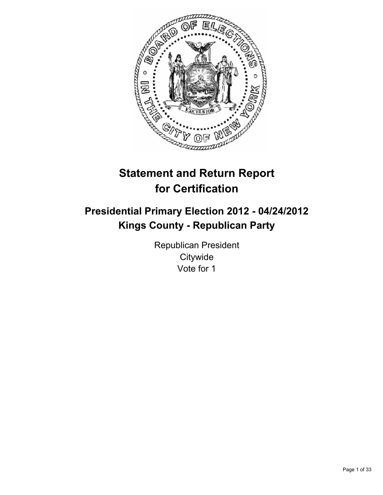

# **Statement and Return Report for Certification**

## **Presidential Primary Election 2012 - 04/24/2012 Kings County - Republican Party**

Republican President **Citywide** Vote for 1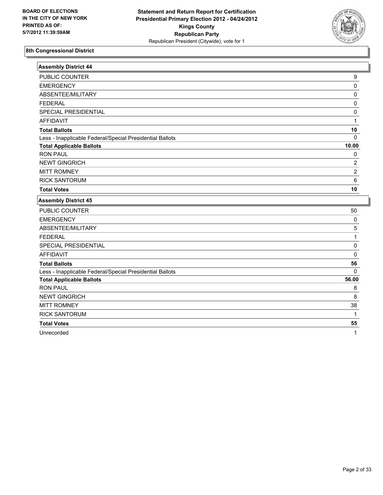

| <b>Assembly District 44</b>                              |                |
|----------------------------------------------------------|----------------|
| PUBLIC COUNTER                                           | 9              |
| <b>EMERGENCY</b>                                         | 0              |
| ABSENTEE/MILITARY                                        | 0              |
| <b>FEDERAL</b>                                           | 0              |
| SPECIAL PRESIDENTIAL                                     | 0              |
| <b>AFFIDAVIT</b>                                         | 1              |
| <b>Total Ballots</b>                                     | 10             |
| Less - Inapplicable Federal/Special Presidential Ballots | $\Omega$       |
| <b>Total Applicable Ballots</b>                          | 10.00          |
| <b>RON PAUL</b>                                          | 0              |
| <b>NEWT GINGRICH</b>                                     | $\overline{2}$ |
| <b>MITT ROMNEY</b>                                       | $\overline{2}$ |
| <b>RICK SANTORUM</b>                                     | 6              |
| <b>Total Votes</b>                                       | 10             |
| <b>Assembly District 45</b>                              |                |
| PUBLIC COUNTER                                           | 50             |
| <b>EMERGENCY</b>                                         | 0              |
| ABSENTEE/MILITARY                                        | 5              |
| <b>FEDERAL</b>                                           | $\mathbf{1}$   |
| SPECIAL PRESIDENTIAL                                     | 0              |
| <b>AFFIDAVIT</b>                                         | 0              |
| <b>Total Ballots</b>                                     | 56             |
| Less - Inapplicable Federal/Special Presidential Ballots | $\mathbf{0}$   |
| <b>Total Applicable Ballots</b>                          | 56.00          |
| <b>RON PAUL</b>                                          | 8              |
| <b>NEWT GINGRICH</b>                                     | 8              |
| <b>MITT ROMNEY</b>                                       | 38             |
| <b>RICK SANTORUM</b>                                     | 1              |
| <b>Total Votes</b>                                       | 55             |

Unrecorded 1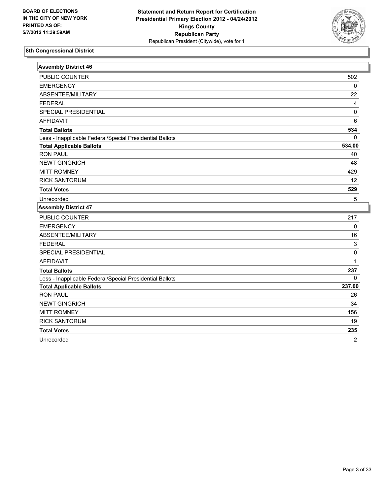

| <b>Assembly District 46</b>                              |                |
|----------------------------------------------------------|----------------|
| PUBLIC COUNTER                                           | 502            |
| <b>EMERGENCY</b>                                         | $\mathbf 0$    |
| ABSENTEE/MILITARY                                        | 22             |
| <b>FEDERAL</b>                                           | 4              |
| SPECIAL PRESIDENTIAL                                     | 0              |
| <b>AFFIDAVIT</b>                                         | 6              |
| <b>Total Ballots</b>                                     | 534            |
| Less - Inapplicable Federal/Special Presidential Ballots | 0              |
| <b>Total Applicable Ballots</b>                          | 534.00         |
| <b>RON PAUL</b>                                          | 40             |
| <b>NEWT GINGRICH</b>                                     | 48             |
| <b>MITT ROMNEY</b>                                       | 429            |
| <b>RICK SANTORUM</b>                                     | 12             |
| <b>Total Votes</b>                                       | 529            |
| Unrecorded                                               | 5              |
| <b>Assembly District 47</b>                              |                |
| <b>PUBLIC COUNTER</b>                                    | 217            |
| <b>EMERGENCY</b>                                         | 0              |
| ABSENTEE/MILITARY                                        | 16             |
| <b>FEDERAL</b>                                           | 3              |
| SPECIAL PRESIDENTIAL                                     | 0              |
| <b>AFFIDAVIT</b>                                         | $\mathbf{1}$   |
| <b>Total Ballots</b>                                     | 237            |
| Less - Inapplicable Federal/Special Presidential Ballots | 0              |
| <b>Total Applicable Ballots</b>                          | 237.00         |
| <b>RON PAUL</b>                                          | 26             |
| <b>NEWT GINGRICH</b>                                     | 34             |
| <b>MITT ROMNEY</b>                                       | 156            |
| <b>RICK SANTORUM</b>                                     | 19             |
| <b>Total Votes</b>                                       | 235            |
| Unrecorded                                               | $\overline{2}$ |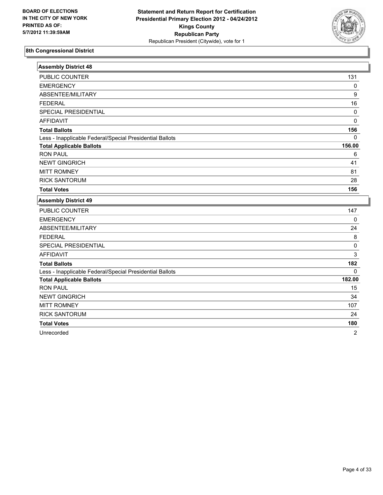

| <b>Assembly District 48</b>                              |              |
|----------------------------------------------------------|--------------|
| PUBLIC COUNTER                                           | 131          |
| <b>EMERGENCY</b>                                         | 0            |
| ABSENTEE/MILITARY                                        | 9            |
| <b>FEDERAL</b>                                           | 16           |
| SPECIAL PRESIDENTIAL                                     | $\pmb{0}$    |
| <b>AFFIDAVIT</b>                                         | $\mathbf 0$  |
| <b>Total Ballots</b>                                     | 156          |
| Less - Inapplicable Federal/Special Presidential Ballots | $\mathbf{0}$ |
| <b>Total Applicable Ballots</b>                          | 156.00       |
| <b>RON PAUL</b>                                          | 6            |
| <b>NEWT GINGRICH</b>                                     | 41           |
| <b>MITT ROMNEY</b>                                       | 81           |
| <b>RICK SANTORUM</b>                                     | 28           |
| <b>Total Votes</b>                                       | 156          |
| <b>Assembly District 49</b>                              |              |
| PUBLIC COUNTER                                           | 147          |
| <b>EMERGENCY</b>                                         | $\mathbf{0}$ |
| ABSENTEE/MILITARY                                        | 24           |
| <b>FEDERAL</b>                                           | 8            |
| SPECIAL PRESIDENTIAL                                     | $\mathbf 0$  |
| <b>AFFIDAVIT</b>                                         | 3            |
| <b>Total Ballots</b>                                     | 182          |
| Less - Inapplicable Federal/Special Presidential Ballots | $\Omega$     |
| <b>Total Applicable Ballots</b>                          | 182.00       |
| <b>RON PAUL</b>                                          | 15           |
| <b>NEWT GINGRICH</b>                                     | 34           |
| <b>MITT ROMNEY</b>                                       | 107          |
| <b>RICK SANTORUM</b>                                     | 24           |
| <b>Total Votes</b>                                       | 180          |

Unrecorded 2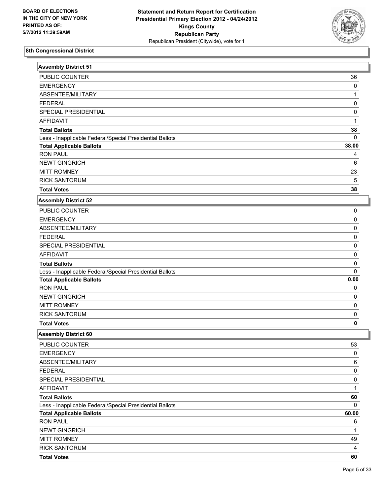

| <b>Assembly District 51</b>                              |              |
|----------------------------------------------------------|--------------|
| PUBLIC COUNTER                                           | 36           |
| <b>EMERGENCY</b>                                         | 0            |
| ABSENTEE/MILITARY                                        | 1            |
| <b>FEDERAL</b>                                           | 0            |
| SPECIAL PRESIDENTIAL                                     | 0            |
| <b>AFFIDAVIT</b>                                         | $\mathbf{1}$ |
| <b>Total Ballots</b>                                     | 38           |
| Less - Inapplicable Federal/Special Presidential Ballots | $\Omega$     |
| <b>Total Applicable Ballots</b>                          | 38.00        |
| <b>RON PAUL</b>                                          | 4            |
| <b>NEWT GINGRICH</b>                                     | 6            |
| <b>MITT ROMNEY</b>                                       | 23           |
| <b>RICK SANTORUM</b>                                     | 5            |
| <b>Total Votes</b>                                       | 38           |
| <b>Assembly District 52</b>                              |              |
| PUBLIC COUNTER                                           | 0            |
| <b>EMERGENCY</b>                                         | 0            |
| ABSENTEE/MILITARY                                        | 0            |
| <b>FEDERAL</b>                                           | 0            |
| SPECIAL PRESIDENTIAL                                     | 0            |
| <b>AFFIDAVIT</b>                                         | 0            |
| <b>Total Ballots</b>                                     | 0            |
| Less - Inapplicable Federal/Special Presidential Ballots | 0            |
| <b>Total Applicable Ballots</b>                          | 0.00         |
| <b>RON PAUL</b>                                          | 0            |
| <b>NEWT GINGRICH</b>                                     | 0            |
| <b>MITT ROMNEY</b>                                       | 0            |
| <b>RICK SANTORUM</b>                                     | 0            |
| <b>Total Votes</b>                                       | 0            |
| <b>Assembly District 60</b>                              |              |
| PUBLIC COUNTER                                           | 53           |
| <b>EMERGENCY</b>                                         | 0            |
| ABSENTEE/MILITARY                                        | 6            |
| <b>FEDERAL</b>                                           | 0            |
| SPECIAL PRESIDENTIAL                                     | 0            |
| <b>AFFIDAVIT</b>                                         | $\mathbf{1}$ |
| <b>Total Ballots</b>                                     | 60           |
| Less - Inapplicable Federal/Special Presidential Ballots | 0            |
| <b>Total Applicable Ballots</b>                          | 60.00        |
| <b>RON PAUL</b>                                          | 6            |
| <b>NEWT GINGRICH</b>                                     | 1            |
| <b>MITT ROMNEY</b>                                       | 49           |
| <b>RICK SANTORUM</b>                                     | 4            |
| <b>Total Votes</b>                                       | 60           |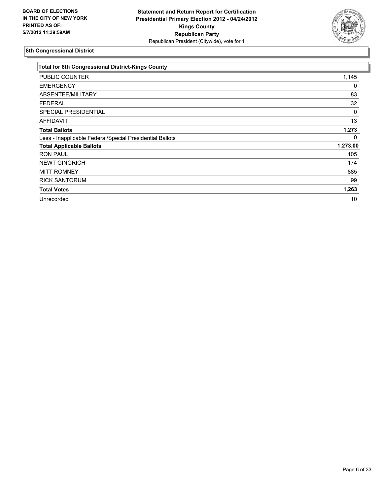

| Total for 8th Congressional District-Kings County        |          |
|----------------------------------------------------------|----------|
| <b>PUBLIC COUNTER</b>                                    | 1,145    |
| <b>EMERGENCY</b>                                         | 0        |
| ABSENTEE/MILITARY                                        | 83       |
| <b>FEDERAL</b>                                           | 32       |
| <b>SPECIAL PRESIDENTIAL</b>                              | 0        |
| AFFIDAVIT                                                | 13       |
| <b>Total Ballots</b>                                     | 1,273    |
| Less - Inapplicable Federal/Special Presidential Ballots | 0        |
| <b>Total Applicable Ballots</b>                          | 1,273.00 |
| <b>RON PAUL</b>                                          | 105      |
| <b>NEWT GINGRICH</b>                                     | 174      |
| <b>MITT ROMNEY</b>                                       | 885      |
| <b>RICK SANTORUM</b>                                     | 99       |
| <b>Total Votes</b>                                       | 1,263    |
| Unrecorded                                               | 10       |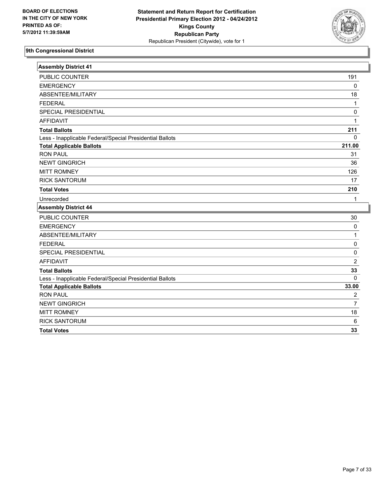

| <b>Assembly District 41</b>                              |                |
|----------------------------------------------------------|----------------|
| PUBLIC COUNTER                                           | 191            |
| <b>EMERGENCY</b>                                         | 0              |
| ABSENTEE/MILITARY                                        | 18             |
| <b>FEDERAL</b>                                           | $\mathbf{1}$   |
| SPECIAL PRESIDENTIAL                                     | 0              |
| <b>AFFIDAVIT</b>                                         | $\mathbf{1}$   |
| <b>Total Ballots</b>                                     | 211            |
| Less - Inapplicable Federal/Special Presidential Ballots | 0              |
| <b>Total Applicable Ballots</b>                          | 211.00         |
| <b>RON PAUL</b>                                          | 31             |
| <b>NEWT GINGRICH</b>                                     | 36             |
| <b>MITT ROMNEY</b>                                       | 126            |
| <b>RICK SANTORUM</b>                                     | 17             |
| <b>Total Votes</b>                                       | 210            |
| Unrecorded                                               | 1              |
| <b>Assembly District 44</b>                              |                |
| PUBLIC COUNTER                                           | 30             |
| <b>EMERGENCY</b>                                         | 0              |
| ABSENTEE/MILITARY                                        | $\mathbf{1}$   |
| <b>FEDERAL</b>                                           | 0              |
| SPECIAL PRESIDENTIAL                                     | 0              |
| <b>AFFIDAVIT</b>                                         | $\overline{2}$ |
| <b>Total Ballots</b>                                     | 33             |
| Less - Inapplicable Federal/Special Presidential Ballots | $\Omega$       |
| <b>Total Applicable Ballots</b>                          | 33.00          |
| <b>RON PAUL</b>                                          | 2              |
| <b>NEWT GINGRICH</b>                                     | $\overline{7}$ |
| <b>MITT ROMNEY</b>                                       | 18             |
| <b>RICK SANTORUM</b>                                     | 6              |
| <b>Total Votes</b>                                       | 33             |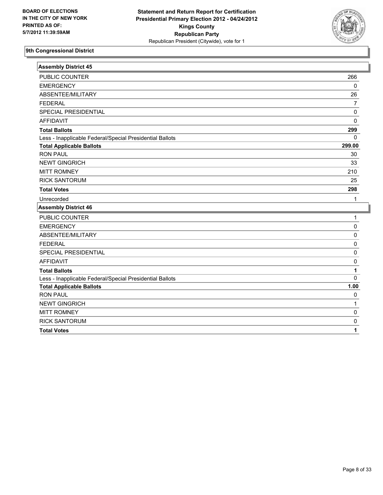

| <b>Assembly District 45</b>                              |                |
|----------------------------------------------------------|----------------|
| PUBLIC COUNTER                                           | 266            |
| <b>EMERGENCY</b>                                         | 0              |
| ABSENTEE/MILITARY                                        | 26             |
| <b>FEDERAL</b>                                           | $\overline{7}$ |
| SPECIAL PRESIDENTIAL                                     | 0              |
| <b>AFFIDAVIT</b>                                         | 0              |
| <b>Total Ballots</b>                                     | 299            |
| Less - Inapplicable Federal/Special Presidential Ballots | $\Omega$       |
| <b>Total Applicable Ballots</b>                          | 299.00         |
| <b>RON PAUL</b>                                          | 30             |
| <b>NEWT GINGRICH</b>                                     | 33             |
| <b>MITT ROMNEY</b>                                       | 210            |
| <b>RICK SANTORUM</b>                                     | 25             |
| <b>Total Votes</b>                                       | 298            |
| Unrecorded                                               | 1              |
| <b>Assembly District 46</b>                              |                |
| PUBLIC COUNTER                                           | 1              |
| <b>EMERGENCY</b>                                         | 0              |
| ABSENTEE/MILITARY                                        | 0              |
| <b>FEDERAL</b>                                           | 0              |
| SPECIAL PRESIDENTIAL                                     | 0              |
| <b>AFFIDAVIT</b>                                         | 0              |
| <b>Total Ballots</b>                                     | 1              |
| Less - Inapplicable Federal/Special Presidential Ballots | $\Omega$       |
| <b>Total Applicable Ballots</b>                          | 1.00           |
| <b>RON PAUL</b>                                          | 0              |
| <b>NEWT GINGRICH</b>                                     | $\mathbf{1}$   |
| <b>MITT ROMNEY</b>                                       | 0              |
| <b>RICK SANTORUM</b>                                     | 0              |
| <b>Total Votes</b>                                       | 1              |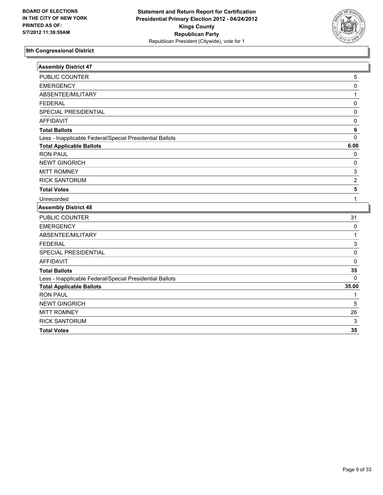

| <b>Assembly District 47</b>                              |                           |
|----------------------------------------------------------|---------------------------|
| PUBLIC COUNTER                                           | 5                         |
| <b>EMERGENCY</b>                                         | 0                         |
| ABSENTEE/MILITARY                                        | 1                         |
| <b>FEDERAL</b>                                           | 0                         |
| SPECIAL PRESIDENTIAL                                     | 0                         |
| <b>AFFIDAVIT</b>                                         | $\pmb{0}$                 |
| <b>Total Ballots</b>                                     | 6                         |
| Less - Inapplicable Federal/Special Presidential Ballots | 0                         |
| <b>Total Applicable Ballots</b>                          | 6.00                      |
| <b>RON PAUL</b>                                          | 0                         |
| <b>NEWT GINGRICH</b>                                     | 0                         |
| <b>MITT ROMNEY</b>                                       | $\ensuremath{\mathsf{3}}$ |
| <b>RICK SANTORUM</b>                                     | $\overline{2}$            |
| <b>Total Votes</b>                                       | 5                         |
| Unrecorded                                               | 1                         |
| <b>Assembly District 48</b>                              |                           |
| PUBLIC COUNTER                                           | 31                        |
| <b>EMERGENCY</b>                                         | 0                         |
| ABSENTEE/MILITARY                                        | 1                         |
| <b>FEDERAL</b>                                           | $\mathbf{3}$              |
| SPECIAL PRESIDENTIAL                                     | 0                         |
| <b>AFFIDAVIT</b>                                         | 0                         |
| <b>Total Ballots</b>                                     | 35                        |
| Less - Inapplicable Federal/Special Presidential Ballots | $\Omega$                  |
| <b>Total Applicable Ballots</b>                          | 35.00                     |
| <b>RON PAUL</b>                                          | 1                         |
| <b>NEWT GINGRICH</b>                                     | 5                         |
| <b>MITT ROMNEY</b>                                       | 26                        |
| <b>RICK SANTORUM</b>                                     | 3                         |
| <b>Total Votes</b>                                       | 35                        |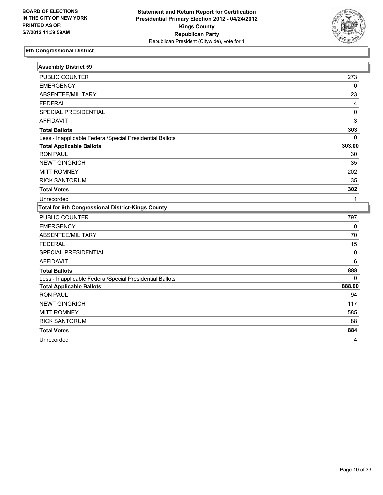

| <b>Assembly District 59</b>                              |           |
|----------------------------------------------------------|-----------|
| <b>PUBLIC COUNTER</b>                                    | 273       |
| <b>EMERGENCY</b>                                         | 0         |
| ABSENTEE/MILITARY                                        | 23        |
| <b>FEDERAL</b>                                           | 4         |
| <b>SPECIAL PRESIDENTIAL</b>                              | 0         |
| <b>AFFIDAVIT</b>                                         | 3         |
| <b>Total Ballots</b>                                     | 303       |
| Less - Inapplicable Federal/Special Presidential Ballots | 0         |
| <b>Total Applicable Ballots</b>                          | 303.00    |
| <b>RON PAUL</b>                                          | 30        |
| <b>NEWT GINGRICH</b>                                     | 35        |
| <b>MITT ROMNEY</b>                                       | 202       |
| <b>RICK SANTORUM</b>                                     | 35        |
| <b>Total Votes</b>                                       | 302       |
| Unrecorded                                               | 1         |
| <b>Total for 9th Congressional District-Kings County</b> |           |
| <b>PUBLIC COUNTER</b>                                    | 797       |
| <b>EMERGENCY</b>                                         | $\pmb{0}$ |
| ABSENTEE/MILITARY                                        | 70        |
|                                                          |           |
| <b>FEDERAL</b>                                           | 15        |
| SPECIAL PRESIDENTIAL                                     | 0         |
| <b>AFFIDAVIT</b>                                         | 6         |
| <b>Total Ballots</b>                                     | 888       |
| Less - Inapplicable Federal/Special Presidential Ballots | $\Omega$  |
| <b>Total Applicable Ballots</b>                          | 888.00    |
| <b>RON PAUL</b>                                          | 94        |
| <b>NEWT GINGRICH</b>                                     | 117       |
| <b>MITT ROMNEY</b>                                       | 585       |
| <b>RICK SANTORUM</b>                                     | 88        |
| <b>Total Votes</b>                                       | 884       |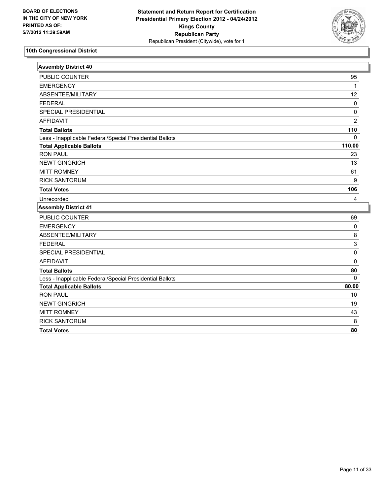

| <b>Assembly District 40</b>                              |                |
|----------------------------------------------------------|----------------|
| PUBLIC COUNTER                                           | 95             |
| <b>EMERGENCY</b>                                         | $\mathbf{1}$   |
| ABSENTEE/MILITARY                                        | 12             |
| <b>FEDERAL</b>                                           | 0              |
| SPECIAL PRESIDENTIAL                                     | 0              |
| <b>AFFIDAVIT</b>                                         | $\overline{2}$ |
| <b>Total Ballots</b>                                     | 110            |
| Less - Inapplicable Federal/Special Presidential Ballots | $\Omega$       |
| <b>Total Applicable Ballots</b>                          | 110.00         |
| <b>RON PAUL</b>                                          | 23             |
| <b>NEWT GINGRICH</b>                                     | 13             |
| <b>MITT ROMNEY</b>                                       | 61             |
| <b>RICK SANTORUM</b>                                     | 9              |
| <b>Total Votes</b>                                       | 106            |
| Unrecorded                                               | 4              |
| <b>Assembly District 41</b>                              |                |
| PUBLIC COUNTER                                           | 69             |
| <b>EMERGENCY</b>                                         | 0              |
| ABSENTEE/MILITARY                                        | 8              |
| <b>FEDERAL</b>                                           | 3              |
| SPECIAL PRESIDENTIAL                                     | 0              |
| <b>AFFIDAVIT</b>                                         | 0              |
| <b>Total Ballots</b>                                     | 80             |
| Less - Inapplicable Federal/Special Presidential Ballots | $\mathbf 0$    |
| <b>Total Applicable Ballots</b>                          | 80.00          |
| <b>RON PAUL</b>                                          | 10             |
| <b>NEWT GINGRICH</b>                                     | 19             |
| <b>MITT ROMNEY</b>                                       | 43             |
| <b>RICK SANTORUM</b>                                     | 8              |
| <b>Total Votes</b>                                       | 80             |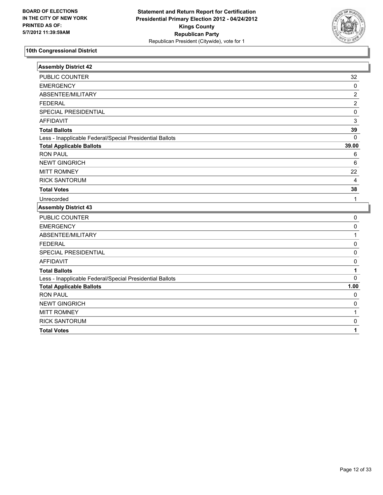

| <b>Assembly District 42</b>                              |                |
|----------------------------------------------------------|----------------|
| PUBLIC COUNTER                                           | 32             |
| <b>EMERGENCY</b>                                         | $\mathbf 0$    |
| ABSENTEE/MILITARY                                        | $\overline{c}$ |
| <b>FEDERAL</b>                                           | $\overline{2}$ |
| SPECIAL PRESIDENTIAL                                     | $\pmb{0}$      |
| <b>AFFIDAVIT</b>                                         | 3              |
| <b>Total Ballots</b>                                     | 39             |
| Less - Inapplicable Federal/Special Presidential Ballots | $\mathbf 0$    |
| <b>Total Applicable Ballots</b>                          | 39.00          |
| <b>RON PAUL</b>                                          | 6              |
| <b>NEWT GINGRICH</b>                                     | 6              |
| <b>MITT ROMNEY</b>                                       | 22             |
| <b>RICK SANTORUM</b>                                     | $\overline{4}$ |
| <b>Total Votes</b>                                       | 38             |
| Unrecorded                                               | 1              |
| <b>Assembly District 43</b>                              |                |
| PUBLIC COUNTER                                           | 0              |
| <b>EMERGENCY</b>                                         | 0              |
| ABSENTEE/MILITARY                                        | 1              |
| <b>FEDERAL</b>                                           | $\mathbf 0$    |
| SPECIAL PRESIDENTIAL                                     | $\pmb{0}$      |
| <b>AFFIDAVIT</b>                                         | $\pmb{0}$      |
| <b>Total Ballots</b>                                     | 1              |
| Less - Inapplicable Federal/Special Presidential Ballots | $\Omega$       |
| <b>Total Applicable Ballots</b>                          | 1.00           |
| <b>RON PAUL</b>                                          | $\mathbf 0$    |
| <b>NEWT GINGRICH</b>                                     | $\mathbf 0$    |
| <b>MITT ROMNEY</b>                                       | 1              |
| <b>RICK SANTORUM</b>                                     | 0              |
| <b>Total Votes</b>                                       | 1              |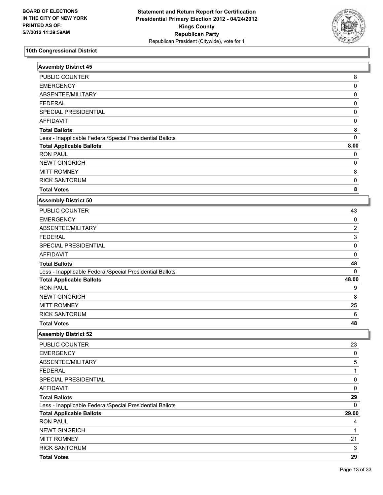

| <b>Assembly District 45</b>                              |                |
|----------------------------------------------------------|----------------|
| PUBLIC COUNTER                                           | 8              |
| <b>EMERGENCY</b>                                         | 0              |
| ABSENTEE/MILITARY                                        | 0              |
| <b>FEDERAL</b>                                           | 0              |
| SPECIAL PRESIDENTIAL                                     | 0              |
| <b>AFFIDAVIT</b>                                         | 0              |
| <b>Total Ballots</b>                                     | 8              |
| Less - Inapplicable Federal/Special Presidential Ballots | 0              |
| <b>Total Applicable Ballots</b>                          | 8.00           |
| <b>RON PAUL</b>                                          | 0              |
| <b>NEWT GINGRICH</b>                                     | 0              |
| <b>MITT ROMNEY</b>                                       | 8              |
| <b>RICK SANTORUM</b>                                     | 0              |
| <b>Total Votes</b>                                       | 8              |
| <b>Assembly District 50</b>                              |                |
| PUBLIC COUNTER                                           | 43             |
| <b>EMERGENCY</b>                                         | 0              |
| ABSENTEE/MILITARY                                        | $\overline{c}$ |
| <b>FEDERAL</b>                                           | 3              |
| SPECIAL PRESIDENTIAL                                     | 0              |
| <b>AFFIDAVIT</b>                                         | 0              |
| <b>Total Ballots</b>                                     | 48             |
| Less - Inapplicable Federal/Special Presidential Ballots | 0              |
| <b>Total Applicable Ballots</b>                          | 48.00          |
| <b>RON PAUL</b>                                          | 9              |
| <b>NEWT GINGRICH</b>                                     | 8              |
| <b>MITT ROMNEY</b>                                       | 25             |
| <b>RICK SANTORUM</b>                                     | $\,6\,$        |
| <b>Total Votes</b>                                       | 48             |
| <b>Assembly District 52</b>                              |                |
| PUBLIC COUNTER                                           | 23             |
| <b>EMERGENCY</b>                                         | 0              |
| ABSENTEE/MILITARY                                        | 5              |
| <b>FEDERAL</b>                                           | 1              |
| SPECIAL PRESIDENTIAL                                     | 0              |
| <b>AFFIDAVIT</b>                                         | 0              |
| <b>Total Ballots</b>                                     | 29             |
| Less - Inapplicable Federal/Special Presidential Ballots | 0              |
| <b>Total Applicable Ballots</b>                          | 29.00          |
| <b>RON PAUL</b>                                          | 4              |
| <b>NEWT GINGRICH</b>                                     | 1              |
| <b>MITT ROMNEY</b>                                       | 21             |
| <b>RICK SANTORUM</b>                                     | 3              |
| <b>Total Votes</b>                                       | 29             |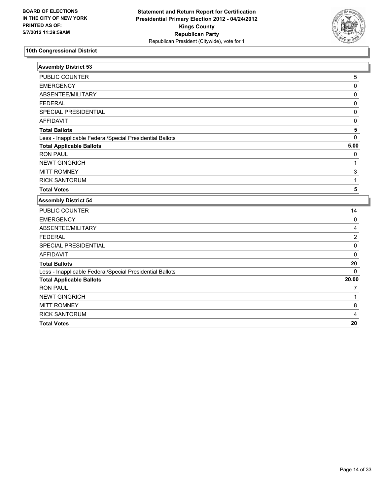

| <b>Assembly District 53</b>                              |                |
|----------------------------------------------------------|----------------|
| PUBLIC COUNTER                                           | 5              |
| <b>EMERGENCY</b>                                         | 0              |
| ABSENTEE/MILITARY                                        | 0              |
| <b>FEDERAL</b>                                           | 0              |
| <b>SPECIAL PRESIDENTIAL</b>                              | 0              |
| <b>AFFIDAVIT</b>                                         | 0              |
| <b>Total Ballots</b>                                     | 5              |
| Less - Inapplicable Federal/Special Presidential Ballots | 0              |
| <b>Total Applicable Ballots</b>                          | 5.00           |
| <b>RON PAUL</b>                                          | 0              |
| <b>NEWT GINGRICH</b>                                     | 1              |
| <b>MITT ROMNEY</b>                                       | 3              |
| <b>RICK SANTORUM</b>                                     | $\mathbf{1}$   |
| <b>Total Votes</b>                                       | 5              |
| <b>Assembly District 54</b>                              |                |
| PUBLIC COUNTER                                           | 14             |
| <b>EMERGENCY</b>                                         | 0              |
| ABSENTEE/MILITARY                                        | 4              |
| <b>FEDERAL</b>                                           | $\overline{2}$ |
| SPECIAL PRESIDENTIAL                                     | 0              |
| <b>AFFIDAVIT</b>                                         | 0              |
| <b>Total Ballots</b>                                     | 20             |
| Less - Inapplicable Federal/Special Presidential Ballots | $\Omega$       |
| <b>Total Applicable Ballots</b>                          | 20.00          |
| <b>RON PAUL</b>                                          | 7              |
| <b>NEWT GINGRICH</b>                                     | $\mathbf{1}$   |
| <b>MITT ROMNEY</b>                                       | 8              |
| <b>RICK SANTORUM</b>                                     | 4              |
| <b>Total Votes</b>                                       | 20             |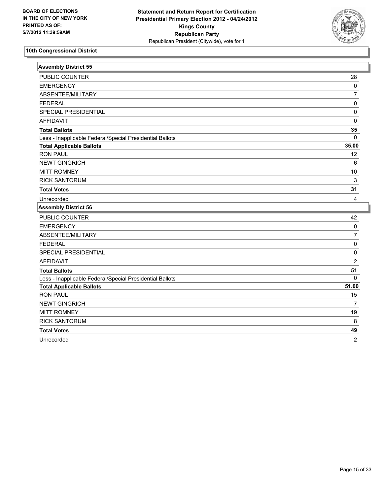

| <b>Assembly District 55</b>                              |                         |
|----------------------------------------------------------|-------------------------|
| <b>PUBLIC COUNTER</b>                                    | 28                      |
| <b>EMERGENCY</b>                                         | 0                       |
| ABSENTEE/MILITARY                                        | $\overline{7}$          |
| <b>FEDERAL</b>                                           | 0                       |
| SPECIAL PRESIDENTIAL                                     | 0                       |
| <b>AFFIDAVIT</b>                                         | 0                       |
| <b>Total Ballots</b>                                     | 35                      |
| Less - Inapplicable Federal/Special Presidential Ballots | 0                       |
| <b>Total Applicable Ballots</b>                          | 35.00                   |
| <b>RON PAUL</b>                                          | 12                      |
| <b>NEWT GINGRICH</b>                                     | 6                       |
| <b>MITT ROMNEY</b>                                       | 10                      |
| <b>RICK SANTORUM</b>                                     | 3                       |
| <b>Total Votes</b>                                       | 31                      |
| Unrecorded                                               | $\overline{\mathbf{4}}$ |
| <b>Assembly District 56</b>                              |                         |
|                                                          |                         |
| PUBLIC COUNTER                                           | 42                      |
| <b>EMERGENCY</b>                                         | $\pmb{0}$               |
| ABSENTEE/MILITARY                                        | $\overline{7}$          |
| <b>FEDERAL</b>                                           | $\pmb{0}$               |
| SPECIAL PRESIDENTIAL                                     | 0                       |
| <b>AFFIDAVIT</b>                                         | $\overline{2}$          |
| <b>Total Ballots</b>                                     | 51                      |
| Less - Inapplicable Federal/Special Presidential Ballots | $\mathbf{0}$            |
| <b>Total Applicable Ballots</b>                          | 51.00                   |
| <b>RON PAUL</b>                                          | 15                      |
| <b>NEWT GINGRICH</b>                                     | $\overline{7}$          |
| <b>MITT ROMNEY</b>                                       | 19                      |
| <b>RICK SANTORUM</b>                                     | $\bf 8$                 |
| <b>Total Votes</b>                                       | 49                      |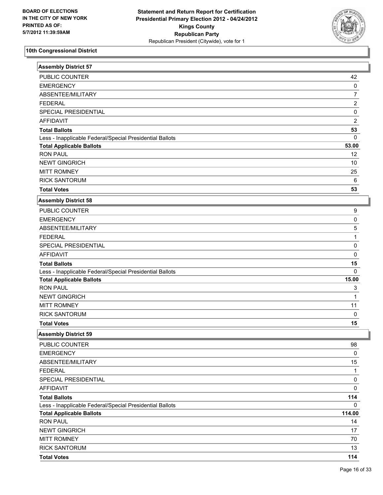

| <b>Assembly District 57</b>                              |                           |
|----------------------------------------------------------|---------------------------|
| PUBLIC COUNTER                                           | 42                        |
| <b>EMERGENCY</b>                                         | $\pmb{0}$                 |
| ABSENTEE/MILITARY                                        | $\overline{7}$            |
| <b>FEDERAL</b>                                           | $\overline{2}$            |
| SPECIAL PRESIDENTIAL                                     | $\pmb{0}$                 |
| <b>AFFIDAVIT</b>                                         | $\sqrt{2}$                |
| <b>Total Ballots</b>                                     | 53                        |
| Less - Inapplicable Federal/Special Presidential Ballots | $\mathbf 0$               |
| <b>Total Applicable Ballots</b>                          | 53.00                     |
| <b>RON PAUL</b>                                          | 12                        |
| <b>NEWT GINGRICH</b>                                     | 10                        |
| <b>MITT ROMNEY</b>                                       | 25                        |
| <b>RICK SANTORUM</b>                                     | 6                         |
| <b>Total Votes</b>                                       | 53                        |
| <b>Assembly District 58</b>                              |                           |
| PUBLIC COUNTER                                           | 9                         |
| <b>EMERGENCY</b>                                         | $\mathsf 0$               |
| ABSENTEE/MILITARY                                        | $\mathbf 5$               |
| <b>FEDERAL</b>                                           | $\mathbf 1$               |
| SPECIAL PRESIDENTIAL                                     | $\pmb{0}$                 |
| <b>AFFIDAVIT</b>                                         | $\pmb{0}$                 |
| <b>Total Ballots</b>                                     | 15                        |
| Less - Inapplicable Federal/Special Presidential Ballots | $\Omega$                  |
| <b>Total Applicable Ballots</b>                          | 15.00                     |
| <b>RON PAUL</b>                                          | $\ensuremath{\mathsf{3}}$ |
| <b>NEWT GINGRICH</b>                                     | $\mathbf{1}$              |
| <b>MITT ROMNEY</b>                                       | 11                        |
| <b>RICK SANTORUM</b>                                     | $\mathbf 0$               |
| <b>Total Votes</b>                                       | 15                        |
| <b>Assembly District 59</b>                              |                           |
| PUBLIC COUNTER                                           | 98                        |
| <b>EMERGENCY</b>                                         | 0                         |
| ABSENTEE/MILITARY                                        | 15                        |
| <b>FEDERAL</b>                                           | $\mathbf{1}$              |
| SPECIAL PRESIDENTIAL                                     | $\pmb{0}$                 |
| <b>AFFIDAVIT</b>                                         | $\mathsf 0$               |
| <b>Total Ballots</b>                                     | 114                       |
| Less - Inapplicable Federal/Special Presidential Ballots | 0                         |
| <b>Total Applicable Ballots</b>                          | 114.00                    |
| <b>RON PAUL</b>                                          | 14                        |
| <b>NEWT GINGRICH</b>                                     | 17                        |
| <b>MITT ROMNEY</b>                                       | 70                        |
| <b>RICK SANTORUM</b>                                     | 13                        |
| <b>Total Votes</b>                                       | 114                       |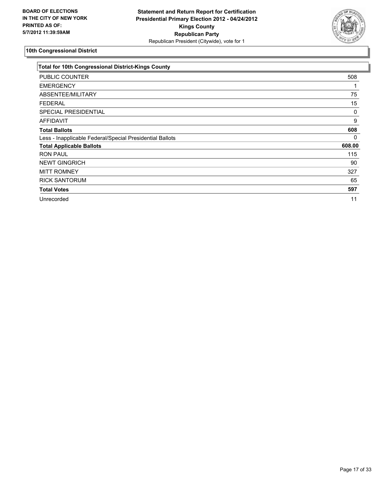

| <b>Total for 10th Congressional District-Kings County</b> |        |
|-----------------------------------------------------------|--------|
| PUBLIC COUNTER                                            | 508    |
| <b>EMERGENCY</b>                                          |        |
| ABSENTEE/MILITARY                                         | 75     |
| <b>FEDERAL</b>                                            | 15     |
| <b>SPECIAL PRESIDENTIAL</b>                               | 0      |
| <b>AFFIDAVIT</b>                                          | 9      |
| <b>Total Ballots</b>                                      | 608    |
| Less - Inapplicable Federal/Special Presidential Ballots  | 0      |
| <b>Total Applicable Ballots</b>                           | 608.00 |
| <b>RON PAUL</b>                                           | 115    |
| <b>NEWT GINGRICH</b>                                      | 90     |
| <b>MITT ROMNEY</b>                                        | 327    |
| <b>RICK SANTORUM</b>                                      | 65     |
| <b>Total Votes</b>                                        | 597    |
| Unrecorded                                                | 11     |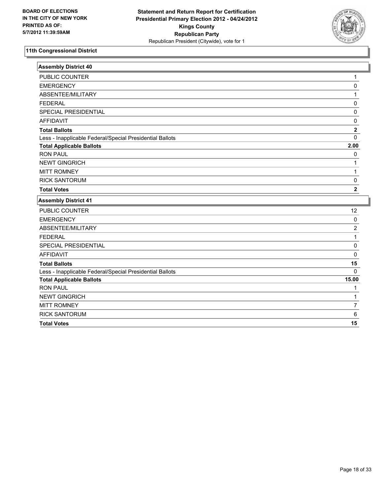

| <b>Assembly District 40</b>                              |                         |
|----------------------------------------------------------|-------------------------|
| PUBLIC COUNTER                                           | 1                       |
| <b>EMERGENCY</b>                                         | 0                       |
| ABSENTEE/MILITARY                                        | 1                       |
| <b>FEDERAL</b>                                           | 0                       |
| <b>SPECIAL PRESIDENTIAL</b>                              | 0                       |
| <b>AFFIDAVIT</b>                                         | $\mathbf 0$             |
| <b>Total Ballots</b>                                     | $\mathbf{2}$            |
| Less - Inapplicable Federal/Special Presidential Ballots | $\Omega$                |
| <b>Total Applicable Ballots</b>                          | 2.00                    |
| <b>RON PAUL</b>                                          | 0                       |
| <b>NEWT GINGRICH</b>                                     | 1                       |
| <b>MITT ROMNEY</b>                                       | $\mathbf{1}$            |
| <b>RICK SANTORUM</b>                                     | $\mathbf 0$             |
| <b>Total Votes</b>                                       | $\overline{\mathbf{2}}$ |
| <b>Assembly District 41</b>                              |                         |
| PUBLIC COUNTER                                           | 12                      |
| <b>EMERGENCY</b>                                         | $\pmb{0}$               |
| ABSENTEE/MILITARY                                        | $\overline{2}$          |
| <b>FEDERAL</b>                                           | $\mathbf{1}$            |
| SPECIAL PRESIDENTIAL                                     | $\mathbf 0$             |
| <b>AFFIDAVIT</b>                                         | 0                       |
| <b>Total Ballots</b>                                     | 15                      |
| Less - Inapplicable Federal/Special Presidential Ballots | $\Omega$                |
| <b>Total Applicable Ballots</b>                          | 15.00                   |
| <b>RON PAUL</b>                                          | 1                       |
| <b>NEWT GINGRICH</b>                                     | 1                       |
| <b>MITT ROMNEY</b>                                       | $\overline{7}$          |
| <b>RICK SANTORUM</b>                                     | 6                       |
| <b>Total Votes</b>                                       | 15                      |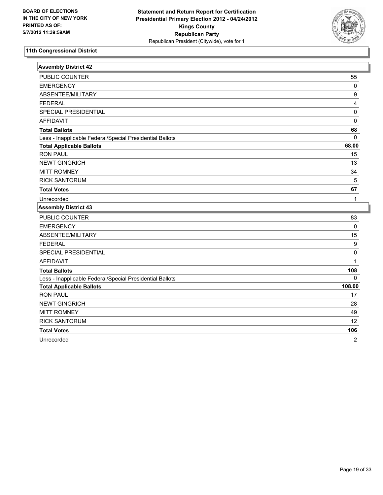

| <b>Assembly District 42</b>                              |                  |
|----------------------------------------------------------|------------------|
| PUBLIC COUNTER                                           | 55               |
| <b>EMERGENCY</b>                                         | $\pmb{0}$        |
| ABSENTEE/MILITARY                                        | $\boldsymbol{9}$ |
| <b>FEDERAL</b>                                           | 4                |
| SPECIAL PRESIDENTIAL                                     | $\pmb{0}$        |
| <b>AFFIDAVIT</b>                                         | $\mathbf 0$      |
| <b>Total Ballots</b>                                     | 68               |
| Less - Inapplicable Federal/Special Presidential Ballots | $\mathbf{0}$     |
| <b>Total Applicable Ballots</b>                          | 68.00            |
| <b>RON PAUL</b>                                          | 15               |
| <b>NEWT GINGRICH</b>                                     | 13               |
| <b>MITT ROMNEY</b>                                       | 34               |
| <b>RICK SANTORUM</b>                                     | $\overline{5}$   |
| <b>Total Votes</b>                                       | 67               |
| Unrecorded                                               | 1                |
| <b>Assembly District 43</b>                              |                  |
| PUBLIC COUNTER                                           | 83               |
| <b>EMERGENCY</b>                                         | $\mathbf 0$      |
| ABSENTEE/MILITARY                                        | 15               |
| <b>FEDERAL</b>                                           | $\boldsymbol{9}$ |
|                                                          |                  |
| SPECIAL PRESIDENTIAL                                     | $\pmb{0}$        |
| <b>AFFIDAVIT</b>                                         | 1                |
| <b>Total Ballots</b>                                     | 108              |
| Less - Inapplicable Federal/Special Presidential Ballots | $\Omega$         |
| <b>Total Applicable Ballots</b>                          | 108.00           |
| <b>RON PAUL</b>                                          | 17               |
| <b>NEWT GINGRICH</b>                                     | 28               |
| <b>MITT ROMNEY</b>                                       | 49               |
| <b>RICK SANTORUM</b>                                     | 12               |
| <b>Total Votes</b>                                       | 106              |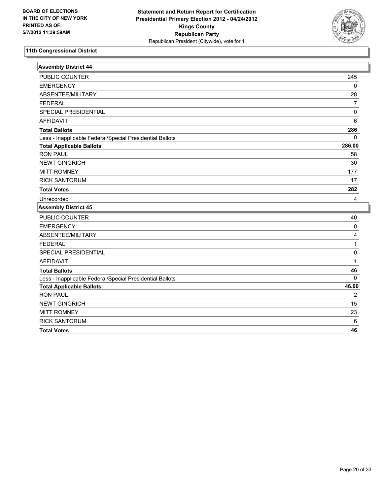

| <b>Assembly District 44</b>                              |                |
|----------------------------------------------------------|----------------|
| <b>PUBLIC COUNTER</b>                                    | 245            |
| <b>EMERGENCY</b>                                         | $\mathbf 0$    |
| ABSENTEE/MILITARY                                        | 28             |
| <b>FEDERAL</b>                                           | $\overline{7}$ |
| SPECIAL PRESIDENTIAL                                     | 0              |
| <b>AFFIDAVIT</b>                                         | 6              |
| <b>Total Ballots</b>                                     | 286            |
| Less - Inapplicable Federal/Special Presidential Ballots | $\Omega$       |
| <b>Total Applicable Ballots</b>                          | 286.00         |
| <b>RON PAUL</b>                                          | 58             |
| <b>NEWT GINGRICH</b>                                     | 30             |
| <b>MITT ROMNEY</b>                                       | 177            |
| <b>RICK SANTORUM</b>                                     | 17             |
| <b>Total Votes</b>                                       | 282            |
| Unrecorded                                               | 4              |
| <b>Assembly District 45</b>                              |                |
| PUBLIC COUNTER                                           | 40             |
| <b>EMERGENCY</b>                                         | 0              |
| ABSENTEE/MILITARY                                        | 4              |
| <b>FEDERAL</b>                                           | 1              |
| SPECIAL PRESIDENTIAL                                     | 0              |
| <b>AFFIDAVIT</b>                                         | 1              |
| <b>Total Ballots</b>                                     | 46             |
| Less - Inapplicable Federal/Special Presidential Ballots | $\Omega$       |
| <b>Total Applicable Ballots</b>                          | 46.00          |
| <b>RON PAUL</b>                                          | 2              |
| <b>NEWT GINGRICH</b>                                     | 15             |
| <b>MITT ROMNEY</b>                                       | 23             |
| <b>RICK SANTORUM</b>                                     | 6              |
| <b>Total Votes</b>                                       | 46             |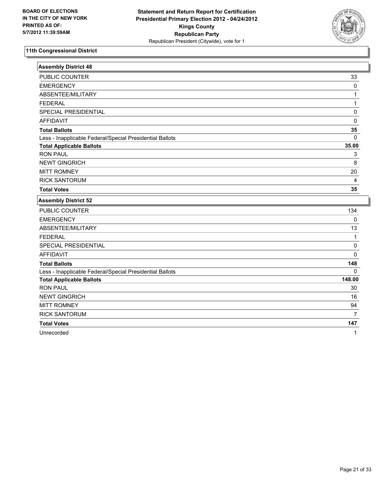

| <b>Assembly District 48</b>                              |              |
|----------------------------------------------------------|--------------|
| PUBLIC COUNTER                                           | 33           |
| <b>EMERGENCY</b>                                         | 0            |
| ABSENTEE/MILITARY                                        | 1            |
| <b>FEDERAL</b>                                           | $\mathbf{1}$ |
| SPECIAL PRESIDENTIAL                                     | 0            |
| <b>AFFIDAVIT</b>                                         | 0            |
| <b>Total Ballots</b>                                     | 35           |
| Less - Inapplicable Federal/Special Presidential Ballots | $\mathbf{0}$ |
| <b>Total Applicable Ballots</b>                          | 35.00        |
| <b>RON PAUL</b>                                          | 3            |
| <b>NEWT GINGRICH</b>                                     | 8            |
| <b>MITT ROMNEY</b>                                       | 20           |
| <b>RICK SANTORUM</b>                                     | 4            |
| <b>Total Votes</b>                                       | 35           |
| <b>Assembly District 52</b>                              |              |
| <b>PUBLIC COUNTER</b>                                    | 134          |
| <b>EMERGENCY</b>                                         | 0            |
| ABSENTEE/MILITARY                                        | 13           |
| <b>FEDERAL</b>                                           | 1            |
| SPECIAL PRESIDENTIAL                                     | 0            |
| <b>AFFIDAVIT</b>                                         | 0            |
| <b>Total Ballots</b>                                     | 148          |
| Less - Inapplicable Federal/Special Presidential Ballots | $\Omega$     |
| <b>Total Applicable Ballots</b>                          | 148.00       |
| <b>RON PAUL</b>                                          | 30           |
| <b>NEWT GINGRICH</b>                                     | 16           |
| <b>MITT ROMNEY</b>                                       | 94           |
| <b>RICK SANTORUM</b>                                     | 7            |
| <b>Total Votes</b>                                       | 147          |

Unrecorded 1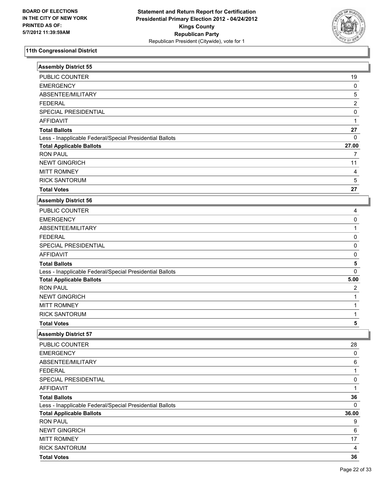

| <b>Assembly District 55</b>                              |                         |
|----------------------------------------------------------|-------------------------|
| PUBLIC COUNTER                                           | 19                      |
| <b>EMERGENCY</b>                                         | 0                       |
| ABSENTEE/MILITARY                                        | $\sqrt{5}$              |
| <b>FEDERAL</b>                                           | $\overline{2}$          |
| SPECIAL PRESIDENTIAL                                     | 0                       |
| <b>AFFIDAVIT</b>                                         | 1                       |
| <b>Total Ballots</b>                                     | 27                      |
| Less - Inapplicable Federal/Special Presidential Ballots | $\mathbf{0}$            |
| <b>Total Applicable Ballots</b>                          | 27.00                   |
| <b>RON PAUL</b>                                          | 7                       |
| <b>NEWT GINGRICH</b>                                     | 11                      |
| <b>MITT ROMNEY</b>                                       | $\overline{\mathbf{4}}$ |
| <b>RICK SANTORUM</b>                                     | $\sqrt{5}$              |
| <b>Total Votes</b>                                       | 27                      |
| <b>Assembly District 56</b>                              |                         |
| PUBLIC COUNTER                                           | 4                       |
| <b>EMERGENCY</b>                                         | 0                       |
| ABSENTEE/MILITARY                                        | 1                       |
| <b>FEDERAL</b>                                           | $\pmb{0}$               |
| SPECIAL PRESIDENTIAL                                     | 0                       |
| <b>AFFIDAVIT</b>                                         | 0                       |
| <b>Total Ballots</b>                                     | 5                       |
| Less - Inapplicable Federal/Special Presidential Ballots | 0                       |
| <b>Total Applicable Ballots</b>                          | 5.00                    |
| <b>RON PAUL</b>                                          | 2                       |
| <b>NEWT GINGRICH</b>                                     | 1                       |
| <b>MITT ROMNEY</b>                                       | 1                       |
| <b>RICK SANTORUM</b>                                     | 1                       |
| <b>Total Votes</b>                                       | 5                       |
| <b>Assembly District 57</b>                              |                         |
| PUBLIC COUNTER                                           | 28                      |
| <b>EMERGENCY</b>                                         | 0                       |
| ABSENTEE/MILITARY                                        | 6                       |
| <b>FEDERAL</b>                                           | $\mathbf{1}$            |
| SPECIAL PRESIDENTIAL                                     | $\pmb{0}$               |
| AFFIDAVIT                                                | 1                       |
| <b>Total Ballots</b>                                     | 36                      |
| Less - Inapplicable Federal/Special Presidential Ballots | $\mathbf 0$             |
| <b>Total Applicable Ballots</b>                          | 36.00                   |
| <b>RON PAUL</b>                                          | 9                       |
| <b>NEWT GINGRICH</b>                                     | 6                       |
| <b>MITT ROMNEY</b>                                       | 17                      |
| <b>RICK SANTORUM</b>                                     | 4                       |
| <b>Total Votes</b>                                       | 36                      |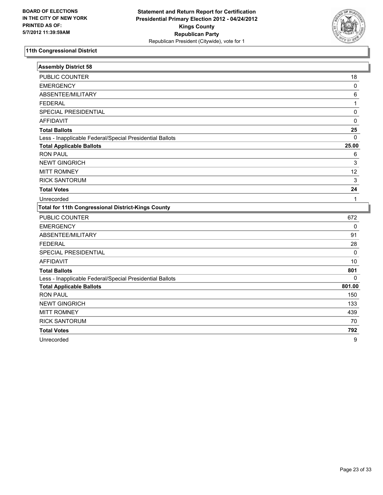

| <b>Assembly District 58</b>                               |              |
|-----------------------------------------------------------|--------------|
| PUBLIC COUNTER                                            | 18           |
| <b>EMERGENCY</b>                                          | $\mathbf 0$  |
| ABSENTEE/MILITARY                                         | 6            |
| <b>FEDERAL</b>                                            | $\mathbf{1}$ |
| SPECIAL PRESIDENTIAL                                      | 0            |
| <b>AFFIDAVIT</b>                                          | 0            |
| <b>Total Ballots</b>                                      | 25           |
| Less - Inapplicable Federal/Special Presidential Ballots  | $\mathbf{0}$ |
| <b>Total Applicable Ballots</b>                           | 25.00        |
| <b>RON PAUL</b>                                           | 6            |
| <b>NEWT GINGRICH</b>                                      | 3            |
| <b>MITT ROMNEY</b>                                        | 12           |
| <b>RICK SANTORUM</b>                                      | 3            |
| <b>Total Votes</b>                                        | 24           |
| Unrecorded                                                | 1            |
|                                                           |              |
| <b>Total for 11th Congressional District-Kings County</b> |              |
| <b>PUBLIC COUNTER</b>                                     | 672          |
| <b>EMERGENCY</b>                                          | $\pmb{0}$    |
| ABSENTEE/MILITARY                                         | 91           |
| <b>FEDERAL</b>                                            | 28           |
| SPECIAL PRESIDENTIAL                                      | $\mathbf 0$  |
| <b>AFFIDAVIT</b>                                          | 10           |
| <b>Total Ballots</b>                                      | 801          |
| Less - Inapplicable Federal/Special Presidential Ballots  | 0            |
| <b>Total Applicable Ballots</b>                           | 801.00       |
| <b>RON PAUL</b>                                           | 150          |
| <b>NEWT GINGRICH</b>                                      | 133          |
| <b>MITT ROMNEY</b>                                        | 439          |
| <b>RICK SANTORUM</b>                                      | 70           |
| <b>Total Votes</b>                                        | 792          |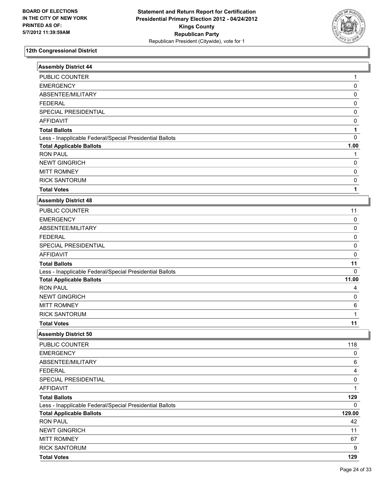

| <b>Assembly District 44</b>                              |              |
|----------------------------------------------------------|--------------|
| <b>PUBLIC COUNTER</b>                                    | 1            |
| <b>EMERGENCY</b>                                         | 0            |
| ABSENTEE/MILITARY                                        | 0            |
| <b>FEDERAL</b>                                           | 0            |
| SPECIAL PRESIDENTIAL                                     | 0            |
| <b>AFFIDAVIT</b>                                         | 0            |
| <b>Total Ballots</b>                                     | 1            |
| Less - Inapplicable Federal/Special Presidential Ballots | 0            |
| <b>Total Applicable Ballots</b>                          | 1.00         |
| <b>RON PAUL</b>                                          | 1            |
| <b>NEWT GINGRICH</b>                                     | 0            |
| <b>MITT ROMNEY</b>                                       | 0            |
| <b>RICK SANTORUM</b>                                     | 0            |
| <b>Total Votes</b>                                       | 1            |
| <b>Assembly District 48</b>                              |              |
| PUBLIC COUNTER                                           | 11           |
| <b>EMERGENCY</b>                                         | 0            |
| ABSENTEE/MILITARY                                        | 0            |
| <b>FEDERAL</b>                                           | 0            |
| SPECIAL PRESIDENTIAL                                     | 0            |
| <b>AFFIDAVIT</b>                                         | 0            |
| <b>Total Ballots</b>                                     | 11           |
| Less - Inapplicable Federal/Special Presidential Ballots | 0            |
| <b>Total Applicable Ballots</b>                          | 11.00        |
| <b>RON PAUL</b>                                          | 4            |
| <b>NEWT GINGRICH</b>                                     | 0            |
| <b>MITT ROMNEY</b>                                       | 6            |
| <b>RICK SANTORUM</b>                                     | $\mathbf{1}$ |
| <b>Total Votes</b>                                       | 11           |
| <b>Assembly District 50</b>                              |              |
| PUBLIC COUNTER                                           | 118          |
| <b>EMERGENCY</b>                                         | 0            |
| ABSENTEE/MILITARY                                        | 6            |
| <b>FEDERAL</b>                                           | 4            |
| SPECIAL PRESIDENTIAL                                     | 0            |
| <b>AFFIDAVIT</b>                                         | $\mathbf{1}$ |
| <b>Total Ballots</b>                                     | 129          |
| Less - Inapplicable Federal/Special Presidential Ballots | 0            |
| <b>Total Applicable Ballots</b>                          | 129.00       |
| <b>RON PAUL</b>                                          | 42           |
| <b>NEWT GINGRICH</b>                                     | 11           |
| <b>MITT ROMNEY</b>                                       | 67           |
| <b>RICK SANTORUM</b>                                     | 9            |
| <b>Total Votes</b>                                       | 129          |

I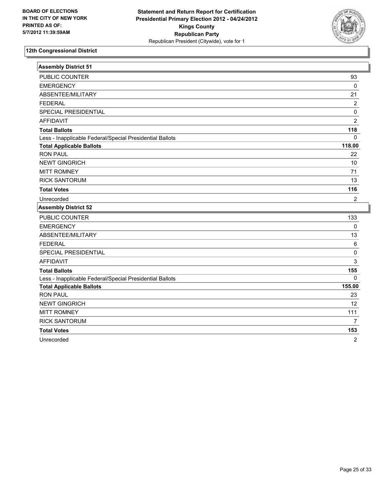

| <b>Assembly District 51</b>                              |                |
|----------------------------------------------------------|----------------|
| PUBLIC COUNTER                                           | 93             |
| <b>EMERGENCY</b>                                         | $\mathbf 0$    |
| ABSENTEE/MILITARY                                        | 21             |
| <b>FEDERAL</b>                                           | 2              |
| SPECIAL PRESIDENTIAL                                     | $\pmb{0}$      |
| <b>AFFIDAVIT</b>                                         | $\overline{2}$ |
| <b>Total Ballots</b>                                     | 118            |
| Less - Inapplicable Federal/Special Presidential Ballots | $\Omega$       |
| <b>Total Applicable Ballots</b>                          | 118.00         |
| <b>RON PAUL</b>                                          | 22             |
| <b>NEWT GINGRICH</b>                                     | 10             |
| <b>MITT ROMNEY</b>                                       | 71             |
| <b>RICK SANTORUM</b>                                     | 13             |
| <b>Total Votes</b>                                       | 116            |
| Unrecorded                                               | $\overline{2}$ |
| <b>Assembly District 52</b>                              |                |
| <b>PUBLIC COUNTER</b>                                    | 133            |
| <b>EMERGENCY</b>                                         | $\pmb{0}$      |
| ABSENTEE/MILITARY                                        | 13             |
| <b>FEDERAL</b>                                           | $\,6\,$        |
| SPECIAL PRESIDENTIAL                                     | $\pmb{0}$      |
| <b>AFFIDAVIT</b>                                         | 3              |
| <b>Total Ballots</b>                                     | 155            |
| Less - Inapplicable Federal/Special Presidential Ballots | $\mathbf{0}$   |
| <b>Total Applicable Ballots</b>                          | 155.00         |
| <b>RON PAUL</b>                                          | 23             |
| <b>NEWT GINGRICH</b>                                     | 12             |
| <b>MITT ROMNEY</b>                                       | 111            |
| <b>RICK SANTORUM</b>                                     | $\overline{7}$ |
| <b>Total Votes</b>                                       | 153            |
| Unrecorded                                               | $\overline{2}$ |
|                                                          |                |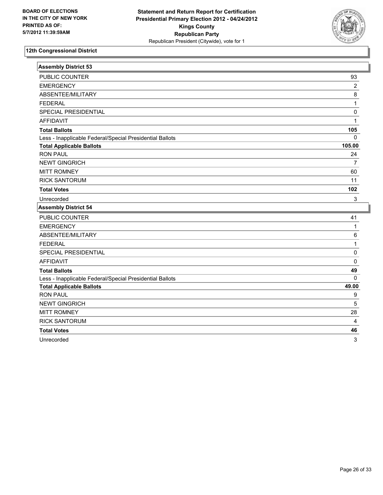

| <b>Assembly District 53</b>                              |                |
|----------------------------------------------------------|----------------|
| PUBLIC COUNTER                                           | 93             |
| <b>EMERGENCY</b>                                         | $\overline{2}$ |
| ABSENTEE/MILITARY                                        | 8              |
| <b>FEDERAL</b>                                           | $\mathbf{1}$   |
| SPECIAL PRESIDENTIAL                                     | 0              |
| <b>AFFIDAVIT</b>                                         | 1              |
| <b>Total Ballots</b>                                     | 105            |
| Less - Inapplicable Federal/Special Presidential Ballots | 0              |
| <b>Total Applicable Ballots</b>                          | 105.00         |
| <b>RON PAUL</b>                                          | 24             |
| <b>NEWT GINGRICH</b>                                     | 7              |
| <b>MITT ROMNEY</b>                                       | 60             |
| <b>RICK SANTORUM</b>                                     | 11             |
| <b>Total Votes</b>                                       | 102            |
| Unrecorded                                               | 3              |
| <b>Assembly District 54</b>                              |                |
| <b>PUBLIC COUNTER</b>                                    | 41             |
| <b>EMERGENCY</b>                                         | $\mathbf{1}$   |
| ABSENTEE/MILITARY                                        | 6              |
| <b>FEDERAL</b>                                           | 1              |
| SPECIAL PRESIDENTIAL                                     | 0              |
| <b>AFFIDAVIT</b>                                         | 0              |
| <b>Total Ballots</b>                                     | 49             |
| Less - Inapplicable Federal/Special Presidential Ballots | 0              |
| <b>Total Applicable Ballots</b>                          | 49.00          |
| <b>RON PAUL</b>                                          | 9              |
| <b>NEWT GINGRICH</b>                                     | 5              |
| <b>MITT ROMNEY</b>                                       | 28             |
| <b>RICK SANTORUM</b>                                     | 4              |
|                                                          |                |
| <b>Total Votes</b>                                       | 46             |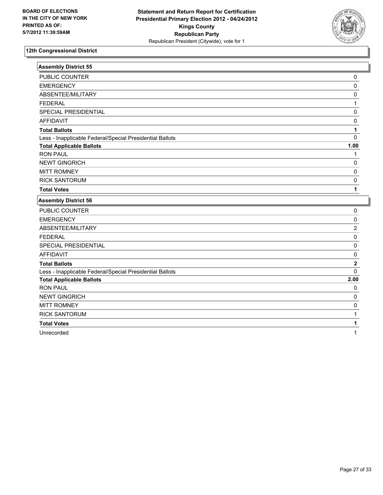

| <b>Assembly District 55</b>                              |                |
|----------------------------------------------------------|----------------|
| PUBLIC COUNTER                                           | 0              |
| <b>EMERGENCY</b>                                         | $\pmb{0}$      |
| ABSENTEE/MILITARY                                        | 0              |
| <b>FEDERAL</b>                                           | 1              |
| SPECIAL PRESIDENTIAL                                     | 0              |
| <b>AFFIDAVIT</b>                                         | 0              |
| <b>Total Ballots</b>                                     | 1              |
| Less - Inapplicable Federal/Special Presidential Ballots | $\mathbf 0$    |
| <b>Total Applicable Ballots</b>                          | 1.00           |
| <b>RON PAUL</b>                                          | 1              |
| <b>NEWT GINGRICH</b>                                     | 0              |
| <b>MITT ROMNEY</b>                                       | 0              |
| <b>RICK SANTORUM</b>                                     | 0              |
| <b>Total Votes</b>                                       | 1              |
| <b>Assembly District 56</b>                              |                |
| PUBLIC COUNTER                                           | 0              |
| <b>EMERGENCY</b>                                         | $\mathbf 0$    |
| ABSENTEE/MILITARY                                        | $\overline{2}$ |
| <b>FEDERAL</b>                                           | 0              |
| SPECIAL PRESIDENTIAL                                     | $\mathsf 0$    |
| <b>AFFIDAVIT</b>                                         | $\mathbf 0$    |
| <b>Total Ballots</b>                                     | $\mathbf 2$    |
| Less - Inapplicable Federal/Special Presidential Ballots | $\overline{0}$ |
| <b>Total Applicable Ballots</b>                          | 2.00           |
| <b>RON PAUL</b>                                          | 0              |
| <b>NEWT GINGRICH</b>                                     | 0              |
| <b>MITT ROMNEY</b>                                       | $\mathsf 0$    |
| <b>RICK SANTORUM</b>                                     | $\mathbf{1}$   |
| <b>Total Votes</b>                                       | 1              |
| Unrecorded                                               | 1              |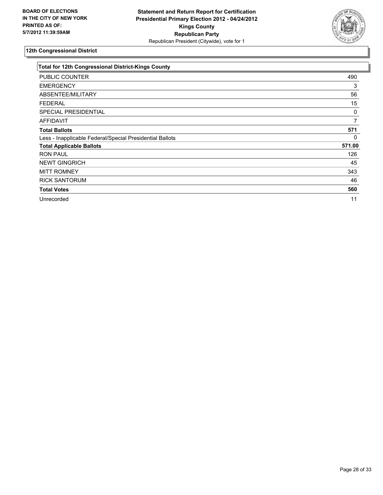

| <b>Total for 12th Congressional District-Kings County</b> |        |
|-----------------------------------------------------------|--------|
| PUBLIC COUNTER                                            | 490    |
| <b>EMERGENCY</b>                                          | 3      |
| ABSENTEE/MILITARY                                         | 56     |
| <b>FEDERAL</b>                                            | 15     |
| SPECIAL PRESIDENTIAL                                      | 0      |
| <b>AFFIDAVIT</b>                                          | 7      |
| <b>Total Ballots</b>                                      | 571    |
| Less - Inapplicable Federal/Special Presidential Ballots  | 0      |
| <b>Total Applicable Ballots</b>                           | 571.00 |
| <b>RON PAUL</b>                                           | 126    |
| <b>NEWT GINGRICH</b>                                      | 45     |
| <b>MITT ROMNEY</b>                                        | 343    |
| <b>RICK SANTORUM</b>                                      | 46     |
| <b>Total Votes</b>                                        | 560    |
| Unrecorded                                                | 11     |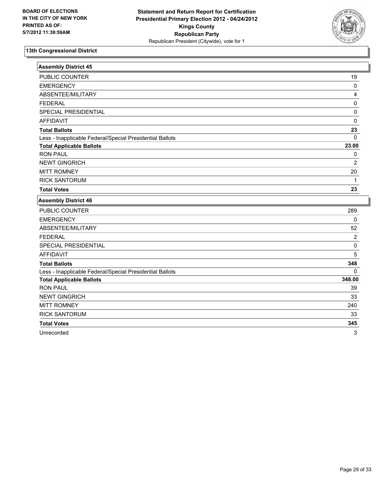

| <b>Assembly District 45</b>                              |                |
|----------------------------------------------------------|----------------|
| <b>PUBLIC COUNTER</b>                                    | 19             |
| <b>EMERGENCY</b>                                         | 0              |
| ABSENTEE/MILITARY                                        | 4              |
| <b>FEDERAL</b>                                           | 0              |
| SPECIAL PRESIDENTIAL                                     | 0              |
| <b>AFFIDAVIT</b>                                         | 0              |
| <b>Total Ballots</b>                                     | 23             |
| Less - Inapplicable Federal/Special Presidential Ballots | $\mathbf 0$    |
| <b>Total Applicable Ballots</b>                          | 23.00          |
| <b>RON PAUL</b>                                          | 0              |
| <b>NEWT GINGRICH</b>                                     | $\overline{2}$ |
| <b>MITT ROMNEY</b>                                       | 20             |
| <b>RICK SANTORUM</b>                                     | 1              |
| <b>Total Votes</b>                                       | 23             |
| <b>Assembly District 46</b>                              |                |
| PUBLIC COUNTER                                           | 289            |
| <b>EMERGENCY</b>                                         | 0              |
| ABSENTEE/MILITARY                                        | 52             |
| <b>FEDERAL</b>                                           | 2              |
| <b>SPECIAL PRESIDENTIAL</b>                              | 0              |
| <b>AFFIDAVIT</b>                                         | 5              |
| <b>Total Ballots</b>                                     | 348            |
| Less - Inapplicable Federal/Special Presidential Ballots | 0              |
| <b>Total Applicable Ballots</b>                          | 348.00         |

RON PAUL 2008 - 2009 - 2009 - 2009 - 2009 - 2009 - 2009 - 2009 - 2009 - 2009 - 2009 - 2009 - 2009 - 2009 - 200 NEWT GINGRICH 33 MITT ROMNEY 240 RICK SANTORUM 33 **Total Votes 345**  Unrecorded 3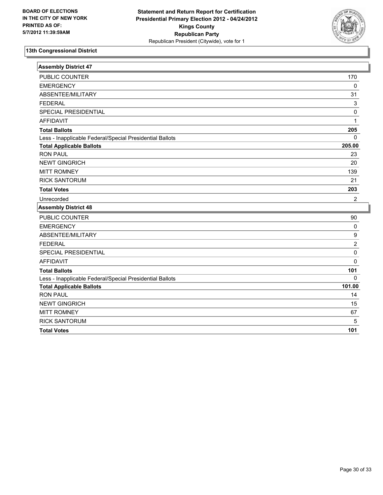

| <b>Assembly District 47</b>                              |                  |
|----------------------------------------------------------|------------------|
| PUBLIC COUNTER                                           | 170              |
| <b>EMERGENCY</b>                                         | $\mathbf 0$      |
| ABSENTEE/MILITARY                                        | 31               |
| <b>FEDERAL</b>                                           | 3                |
| SPECIAL PRESIDENTIAL                                     | $\mathbf 0$      |
| <b>AFFIDAVIT</b>                                         | 1                |
| <b>Total Ballots</b>                                     | 205              |
| Less - Inapplicable Federal/Special Presidential Ballots | $\mathbf 0$      |
| <b>Total Applicable Ballots</b>                          | 205.00           |
| <b>RON PAUL</b>                                          | 23               |
| <b>NEWT GINGRICH</b>                                     | 20               |
| <b>MITT ROMNEY</b>                                       | 139              |
| <b>RICK SANTORUM</b>                                     | 21               |
| <b>Total Votes</b>                                       | 203              |
| Unrecorded                                               | $\overline{2}$   |
| <b>Assembly District 48</b>                              |                  |
| PUBLIC COUNTER                                           | 90               |
| <b>EMERGENCY</b>                                         | $\pmb{0}$        |
| ABSENTEE/MILITARY                                        | $\boldsymbol{9}$ |
| <b>FEDERAL</b>                                           | $\overline{2}$   |
| SPECIAL PRESIDENTIAL                                     | $\mathbf 0$      |
| <b>AFFIDAVIT</b>                                         | $\mathbf 0$      |
| <b>Total Ballots</b>                                     | 101              |
| Less - Inapplicable Federal/Special Presidential Ballots | $\Omega$         |
| <b>Total Applicable Ballots</b>                          | 101.00           |
| <b>RON PAUL</b>                                          | 14               |
| <b>NEWT GINGRICH</b>                                     | 15               |
| <b>MITT ROMNEY</b>                                       | 67               |
| <b>RICK SANTORUM</b>                                     | 5                |
| <b>Total Votes</b>                                       | 101              |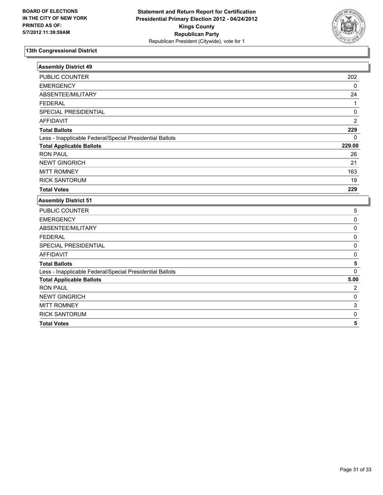

| <b>Assembly District 49</b>                              |                |
|----------------------------------------------------------|----------------|
| PUBLIC COUNTER                                           | 202            |
| <b>EMERGENCY</b>                                         | $\mathbf 0$    |
| ABSENTEE/MILITARY                                        | 24             |
| <b>FEDERAL</b>                                           | $\mathbf{1}$   |
| SPECIAL PRESIDENTIAL                                     | $\mathbf 0$    |
| <b>AFFIDAVIT</b>                                         | $\overline{2}$ |
| <b>Total Ballots</b>                                     | 229            |
| Less - Inapplicable Federal/Special Presidential Ballots | $\Omega$       |
| <b>Total Applicable Ballots</b>                          | 229.00         |
| <b>RON PAUL</b>                                          | 26             |
| <b>NEWT GINGRICH</b>                                     | 21             |
| <b>MITT ROMNEY</b>                                       | 163            |
| <b>RICK SANTORUM</b>                                     | 19             |
| <b>Total Votes</b>                                       | 229            |
| <b>Assembly District 51</b>                              |                |
| PUBLIC COUNTER                                           | 5              |
| <b>EMERGENCY</b>                                         | $\mathbf 0$    |
| ABSENTEE/MILITARY                                        | $\mathbf 0$    |
| <b>FEDERAL</b>                                           | 0              |
| SPECIAL PRESIDENTIAL                                     | $\pmb{0}$      |
| <b>AFFIDAVIT</b>                                         | $\mathbf 0$    |
| <b>Total Ballots</b>                                     | 5              |
| Less - Inapplicable Federal/Special Presidential Ballots | $\Omega$       |
| <b>Total Applicable Ballots</b>                          | 5.00           |
| <b>RON PAUL</b>                                          | $\overline{2}$ |
| <b>NEWT GINGRICH</b>                                     | $\mathbf 0$    |
| <b>MITT ROMNEY</b>                                       | 3              |
| <b>RICK SANTORUM</b>                                     | $\pmb{0}$      |
| <b>Total Votes</b>                                       | 5              |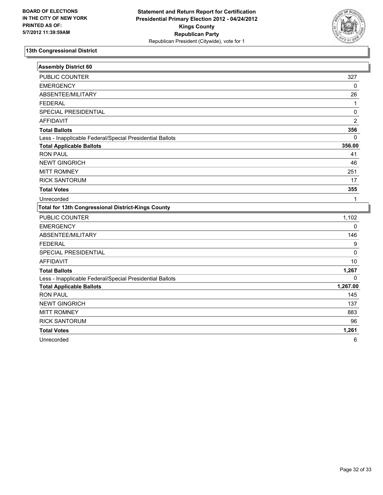

| <b>Assembly District 60</b>                               |                |
|-----------------------------------------------------------|----------------|
| PUBLIC COUNTER                                            | 327            |
| <b>EMERGENCY</b>                                          | 0              |
| ABSENTEE/MILITARY                                         | 26             |
| <b>FEDERAL</b>                                            | 1              |
| SPECIAL PRESIDENTIAL                                      | 0              |
| <b>AFFIDAVIT</b>                                          | $\overline{2}$ |
| <b>Total Ballots</b>                                      | 356            |
| Less - Inapplicable Federal/Special Presidential Ballots  | $\mathbf 0$    |
| <b>Total Applicable Ballots</b>                           | 356.00         |
| <b>RON PAUL</b>                                           | 41             |
| <b>NEWT GINGRICH</b>                                      | 46             |
| <b>MITT ROMNEY</b>                                        | 251            |
| <b>RICK SANTORUM</b>                                      | 17             |
| <b>Total Votes</b>                                        | 355            |
| Unrecorded                                                | 1              |
| <b>Total for 13th Congressional District-Kings County</b> |                |
|                                                           |                |
| <b>PUBLIC COUNTER</b>                                     | 1,102          |
| <b>EMERGENCY</b>                                          | $\mathbf 0$    |
| ABSENTEE/MILITARY                                         | 146            |
| <b>FEDERAL</b>                                            | 9              |
| SPECIAL PRESIDENTIAL                                      | 0              |
| <b>AFFIDAVIT</b>                                          | 10             |
| <b>Total Ballots</b>                                      | 1,267          |
| Less - Inapplicable Federal/Special Presidential Ballots  | $\Omega$       |
| <b>Total Applicable Ballots</b>                           | 1,267.00       |
| <b>RON PAUL</b>                                           | 145            |
| <b>NEWT GINGRICH</b>                                      | 137            |
| <b>MITT ROMNEY</b>                                        | 883            |
| <b>RICK SANTORUM</b>                                      | 96             |
| <b>Total Votes</b>                                        | 1,261          |